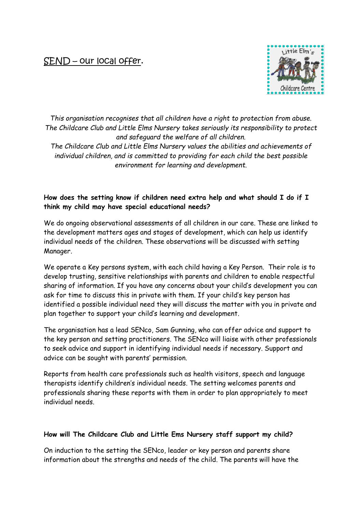# SEND – our local offer.



*This organisation recognises that all children have a right to protection from abuse. The Childcare Club and Little Elms Nursery takes seriously its responsibility to protect and safeguard the welfare of all children.*

*The Childcare Club and Little Elms Nursery values the abilities and achievements of individual children, and is committed to providing for each child the best possible environment for learning and development.*

# **How does the setting know if children need extra help and what should I do if I think my child may have special educational needs?**

We do ongoing observational assessments of all children in our care. These are linked to the development matters ages and stages of development, which can help us identify individual needs of the children. These observations will be discussed with setting Manager.

We operate a Key persons system, with each child having a Key Person. Their role is to develop trusting, sensitive relationships with parents and children to enable respectful sharing of information. If you have any concerns about your child's development you can ask for time to discuss this in private with them. If your child's key person has identified a possible individual need they will discuss the matter with you in private and plan together to support your child's learning and development.

The organisation has a lead SENco, Sam Gunning, who can offer advice and support to the key person and setting practitioners. The SENco will liaise with other professionals to seek advice and support in identifying individual needs if necessary. Support and advice can be sought with parents' permission.

Reports from health care professionals such as health visitors, speech and language therapists identify children's individual needs. The setting welcomes parents and professionals sharing these reports with them in order to plan appropriately to meet individual needs.

# **How will The Childcare Club and Little Ems Nursery staff support my child?**

On induction to the setting the SENco, leader or key person and parents share information about the strengths and needs of the child. The parents will have the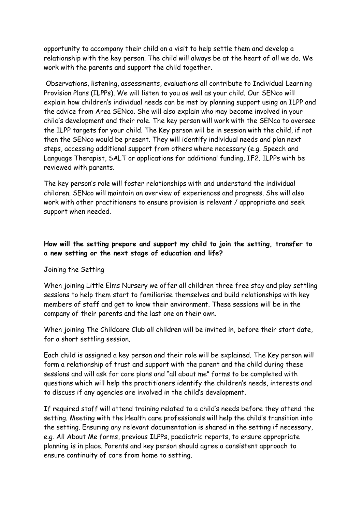opportunity to accompany their child on a visit to help settle them and develop a relationship with the key person. The child will always be at the heart of all we do. We work with the parents and support the child together.

Observations, listening, assessments, evaluations all contribute to Individual Learning Provision Plans (ILPPs). We will listen to you as well as your child. Our SENco will explain how children's individual needs can be met by planning support using an ILPP and the advice from Area SENco. She will also explain who may become involved in your child's development and their role. The key person will work with the SENco to oversee the ILPP targets for your child. The Key person will be in session with the child, if not then the SENco would be present. They will identify individual needs and plan next steps, accessing additional support from others where necessary (e.g. Speech and Language Therapist, SALT or applications for additional funding, IF2. ILPPs with be reviewed with parents.

The key person's role will foster relationships with and understand the individual children. SENco will maintain an overview of experiences and progress. She will also work with other practitioners to ensure provision is relevant / appropriate and seek support when needed.

# **How will the setting prepare and support my child to join the setting, transfer to a new setting or the next stage of education and life?**

#### Joining the Setting

When joining Little Elms Nursery we offer all children three free stay and play settling sessions to help them start to familiarise themselves and build relationships with key members of staff and get to know their environment. These sessions will be in the company of their parents and the last one on their own.

When joining The Childcare Club all children will be invited in, before their start date, for a short settling session.

Each child is assigned a key person and their role will be explained. The Key person will form a relationship of trust and support with the parent and the child during these sessions and will ask for care plans and "all about me" forms to be completed with questions which will help the practitioners identify the children's needs, interests and to discuss if any agencies are involved in the child's development.

If required staff will attend training related to a child's needs before they attend the setting. Meeting with the Health care professionals will help the child's transition into the setting. Ensuring any relevant documentation is shared in the setting if necessary, e.g. All About Me forms, previous ILPPs, paediatric reports, to ensure appropriate planning is in place. Parents and key person should agree a consistent approach to ensure continuity of care from home to setting.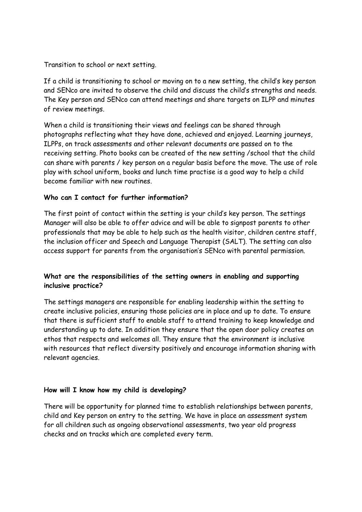Transition to school or next setting.

If a child is transitioning to school or moving on to a new setting, the child's key person and SENco are invited to observe the child and discuss the child's strengths and needs. The Key person and SENco can attend meetings and share targets on ILPP and minutes of review meetings.

When a child is transitioning their views and feelings can be shared through photographs reflecting what they have done, achieved and enjoyed. Learning journeys, ILPPs, on track assessments and other relevant documents are passed on to the receiving setting. Photo books can be created of the new setting /school that the child can share with parents / key person on a regular basis before the move. The use of role play with school uniform, books and lunch time practise is a good way to help a child become familiar with new routines.

# **Who can I contact for further information?**

The first point of contact within the setting is your child's key person. The settings Manager will also be able to offer advice and will be able to signpost parents to other professionals that may be able to help such as the health visitor, children centre staff, the inclusion officer and Speech and Language Therapist (SALT). The setting can also access support for parents from the organisation's SENco with parental permission.

# **What are the responsibilities of the setting owners in enabling and supporting inclusive practice?**

The settings managers are responsible for enabling leadership within the setting to create inclusive policies, ensuring those policies are in place and up to date. To ensure that there is sufficient staff to enable staff to attend training to keep knowledge and understanding up to date. In addition they ensure that the open door policy creates an ethos that respects and welcomes all. They ensure that the environment is inclusive with resources that reflect diversity positively and encourage information sharing with relevant agencies.

# **How will I know how my child is developing?**

There will be opportunity for planned time to establish relationships between parents, child and Key person on entry to the setting. We have in place an assessment system for all children such as ongoing observational assessments, two year old progress checks and on tracks which are completed every term.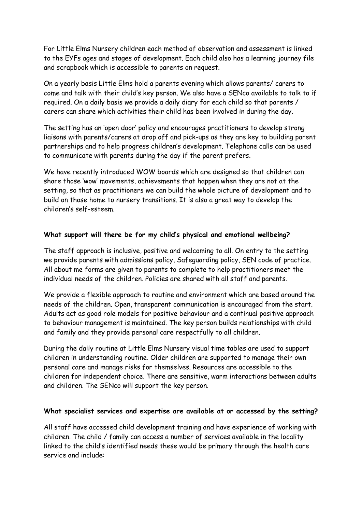For Little Elms Nursery children each method of observation and assessment is linked to the EYFs ages and stages of development. Each child also has a learning journey file and scrapbook which is accessible to parents on request.

On a yearly basis Little Elms hold a parents evening which allows parents/ carers to come and talk with their child's key person. We also have a SENco available to talk to if required. On a daily basis we provide a daily diary for each child so that parents / carers can share which activities their child has been involved in during the day.

The setting has an 'open door' policy and encourages practitioners to develop strong liaisons with parents/carers at drop off and pick-ups as they are key to building parent partnerships and to help progress children's development. Telephone calls can be used to communicate with parents during the day if the parent prefers.

We have recently introduced WOW boards which are designed so that children can share those 'wow' movements, achievements that happen when they are not at the setting, so that as practitioners we can build the whole picture of development and to build on those home to nursery transitions. It is also a great way to develop the children's self-esteem.

### **What support will there be for my child's physical and emotional wellbeing?**

The staff approach is inclusive, positive and welcoming to all. On entry to the setting we provide parents with admissions policy, Safeguarding policy, SEN code of practice. All about me forms are given to parents to complete to help practitioners meet the individual needs of the children. Policies are shared with all staff and parents.

We provide a flexible approach to routine and environment which are based around the needs of the children. Open, transparent communication is encouraged from the start. Adults act as good role models for positive behaviour and a continual positive approach to behaviour management is maintained. The key person builds relationships with child and family and they provide personal care respectfully to all children.

During the daily routine at Little Elms Nursery visual time tables are used to support children in understanding routine. Older children are supported to manage their own personal care and manage risks for themselves. Resources are accessible to the children for independent choice. There are sensitive, warm interactions between adults and children. The SENco will support the key person.

#### **What specialist services and expertise are available at or accessed by the setting?**

All staff have accessed child development training and have experience of working with children. The child / family can access a number of services available in the locality linked to the child's identified needs these would be primary through the health care service and include: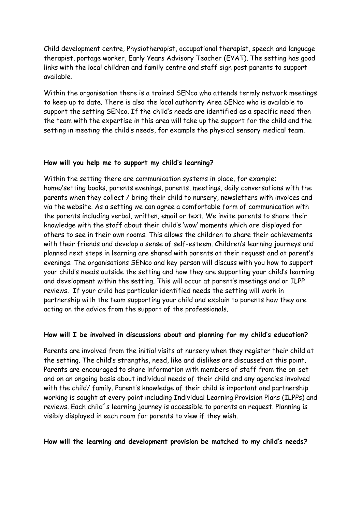Child development centre, Physiotherapist, occupational therapist, speech and language therapist, portage worker, Early Years Advisory Teacher (EYAT). The setting has good links with the local children and family centre and staff sign post parents to support available.

Within the organisation there is a trained SENco who attends termly network meetings to keep up to date. There is also the local authority Area SENco who is available to support the setting SENco. If the child's needs are identified as a specific need then the team with the expertise in this area will take up the support for the child and the setting in meeting the child's needs, for example the physical sensory medical team.

#### **How will you help me to support my child's learning?**

Within the setting there are communication systems in place, for example; home/setting books, parents evenings, parents, meetings, daily conversations with the parents when they collect / bring their child to nursery, newsletters with invoices and via the website. As a setting we can agree a comfortable form of communication with the parents including verbal, written, email or text. We invite parents to share their knowledge with the staff about their child's 'wow' moments which are displayed for others to see in their own rooms. This allows the children to share their achievements with their friends and develop a sense of self-esteem. Children's learning journeys and planned next steps in learning are shared with parents at their request and at parent's evenings. The organisations SENco and key person will discuss with you how to support your child's needs outside the setting and how they are supporting your child's learning and development within the setting. This will occur at parent's meetings and or ILPP reviews. If your child has particular identified needs the setting will work in partnership with the team supporting your child and explain to parents how they are acting on the advice from the support of the professionals.

#### **How will I be involved in discussions about and planning for my child's education?**

Parents are involved from the initial visits at nursery when they register their child at the setting. The child's strengths, need, like and dislikes are discussed at this point. Parents are encouraged to share information with members of staff from the on-set and on an ongoing basis about individual needs of their child and any agencies involved with the child/ family. Parent's knowledge of their child is important and partnership working is sought at every point including Individual Learning Provision Plans (ILPPs) and reviews. Each child´s learning journey is accessible to parents on request. Planning is visibly displayed in each room for parents to view if they wish.

#### **How will the learning and development provision be matched to my child's needs?**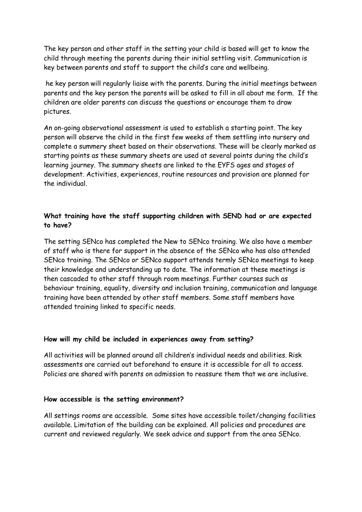The key person and other staff in the setting your child is based will get to know the child through meeting the parents during their initial settling visit. Communication is key between parents and staff to support the child's care and wellbeing.

he key person will regularly liaise with the parents. During the initial meetings between parents and the key person the parents will be asked to fill in all about me form. If the children are older parents can discuss the questions or encourage them to draw pictures.

An on-going observational assessment is used to establish a starting point. The key person will observe the child in the first few weeks of them settling into nursery and complete a summery sheet based on their observations. These will be clearly marked as starting points as these summary sheets are used at several points during the child's learning journey. The summary sheets are linked to the EYFS ages and stages of development. Activities, experiences, routine resources and provision are planned for the individual.

# **What training have the staff supporting children with SEND had or are expected to have?**

The setting SENco has completed the New to SENco training. We also have a member of staff who is there for support in the absence of the SENco who has also attended SENco training. The SENco or SENco support attends termly SENco meetings to keep their knowledge and understanding up to date. The information at these meetings is then cascaded to other staff through room meetings. Further courses such as behaviour training, equality, diversity and inclusion training, communication and language training have been attended by other staff members. Some staff members have attended training linked to specific needs.

#### **How will my child be included in experiences away from setting?**

All activities will be planned around all children's individual needs and abilities. Risk assessments are carried out beforehand to ensure it is accessible for all to access. Policies are shared with parents on admission to reassure them that we are inclusive.

#### **How accessible is the setting environment?**

All settings rooms are accessible. Some sites have accessible toilet/changing facilities available. Limitation of the building can be explained. All policies and procedures are current and reviewed regularly. We seek advice and support from the area SENco.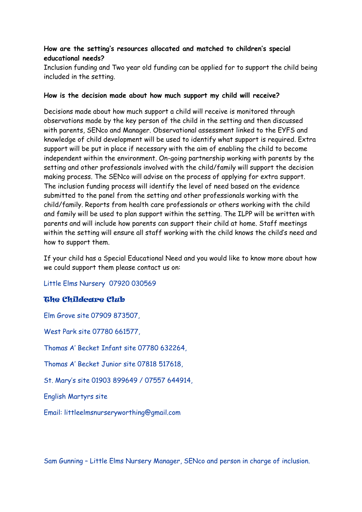# **How are the setting's resources allocated and matched to children's special educational needs?**

Inclusion funding and Two year old funding can be applied for to support the child being included in the setting.

#### **How is the decision made about how much support my child will receive?**

Decisions made about how much support a child will receive is monitored through observations made by the key person of the child in the setting and then discussed with parents, SENco and Manager. Observational assessment linked to the EYFS and knowledge of child development will be used to identify what support is required. Extra support will be put in place if necessary with the aim of enabling the child to become independent within the environment. On-going partnership working with parents by the setting and other professionals involved with the child/family will support the decision making process. The SENco will advise on the process of applying for extra support. The inclusion funding process will identify the level of need based on the evidence submitted to the panel from the setting and other professionals working with the child/family. Reports from health care professionals or others working with the child and family will be used to plan support within the setting. The ILPP will be written with parents and will include how parents can support their child at home. Staff meetings within the setting will ensure all staff working with the child knows the child's need and how to support them.

If your child has a Special Educational Need and you would like to know more about how we could support them please contact us on:

Little Elms Nursery 07920 030569

# The Childcare Club

Elm Grove site 07909 873507, West Park site 07780 661577, Thomas A' Becket Infant site 07780 632264, Thomas A' Becket Junior site 07818 517618, St. Mary's site 01903 899649 / 07557 644914, English Martyrs site Email: littleelmsnurseryworthing@gmail.com

Sam Gunning – Little Elms Nursery Manager, SENco and person in charge of inclusion.